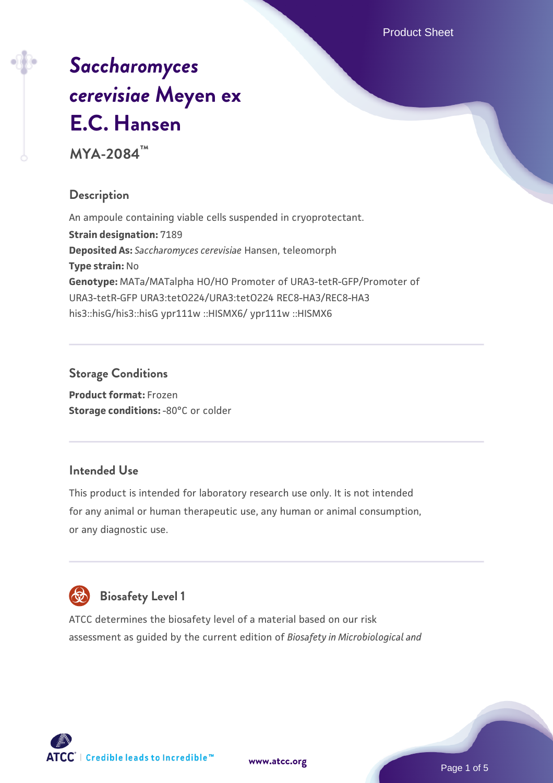Product Sheet

# *[Saccharomyces](https://www.atcc.org/products/mya-2084) [cerevisiae](https://www.atcc.org/products/mya-2084)* **[Meyen ex](https://www.atcc.org/products/mya-2084) [E.C. Hansen](https://www.atcc.org/products/mya-2084)**

**MYA-2084™**

# **Description**

An ampoule containing viable cells suspended in cryoprotectant. **Strain designation:** 7189 **Deposited As:** *Saccharomyces cerevisiae* Hansen, teleomorph **Type strain:** No **Genotype:** MATa/MATalpha HO/HO Promoter of URA3-tetR-GFP/Promoter of URA3-tetR-GFP URA3:tetO224/URA3:tetO224 REC8-HA3/REC8-HA3 his3::hisG/his3::hisG ypr111w ::HISMX6/ ypr111w ::HISMX6

# **Storage Conditions**

**Product format:** Frozen **Storage conditions: -80°C or colder** 

# **Intended Use**

This product is intended for laboratory research use only. It is not intended for any animal or human therapeutic use, any human or animal consumption, or any diagnostic use.



# **Biosafety Level 1**

ATCC determines the biosafety level of a material based on our risk assessment as guided by the current edition of *Biosafety in Microbiological and*

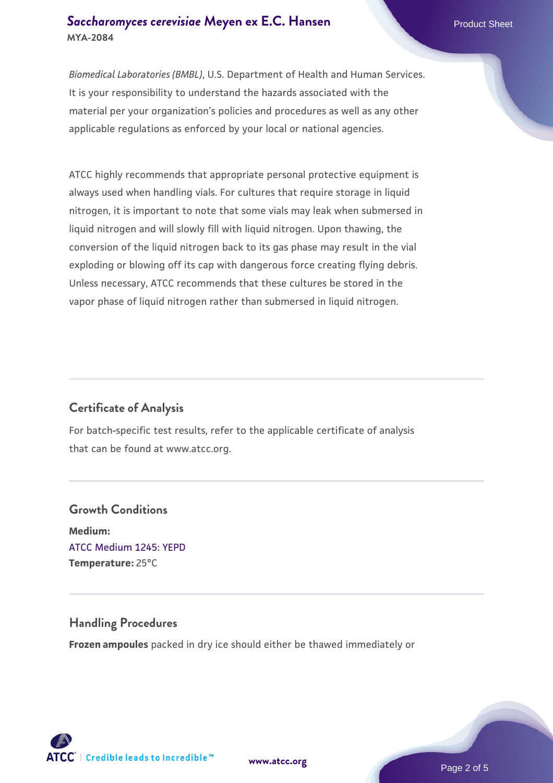#### **[Saccharomyces cerevisiae](https://www.atcc.org/products/mya-2084)** [Meyen ex E.C. Hansen](https://www.atcc.org/products/mya-2084) **MYA-2084**

*Biomedical Laboratories (BMBL)*, U.S. Department of Health and Human Services. It is your responsibility to understand the hazards associated with the material per your organization's policies and procedures as well as any other applicable regulations as enforced by your local or national agencies.

ATCC highly recommends that appropriate personal protective equipment is always used when handling vials. For cultures that require storage in liquid nitrogen, it is important to note that some vials may leak when submersed in liquid nitrogen and will slowly fill with liquid nitrogen. Upon thawing, the conversion of the liquid nitrogen back to its gas phase may result in the vial exploding or blowing off its cap with dangerous force creating flying debris. Unless necessary, ATCC recommends that these cultures be stored in the vapor phase of liquid nitrogen rather than submersed in liquid nitrogen.

# **Certificate of Analysis**

For batch-specific test results, refer to the applicable certificate of analysis that can be found at www.atcc.org.

# **Growth Conditions Medium:**  [ATCC Medium 1245: YEPD](https://www.atcc.org/-/media/product-assets/documents/microbial-media-formulations/1/2/4/5/atcc-medium-1245.pdf?rev=705ca55d1b6f490a808a965d5c072196) **Temperature:** 25°C

#### **Handling Procedures**

**Frozen ampoules** packed in dry ice should either be thawed immediately or



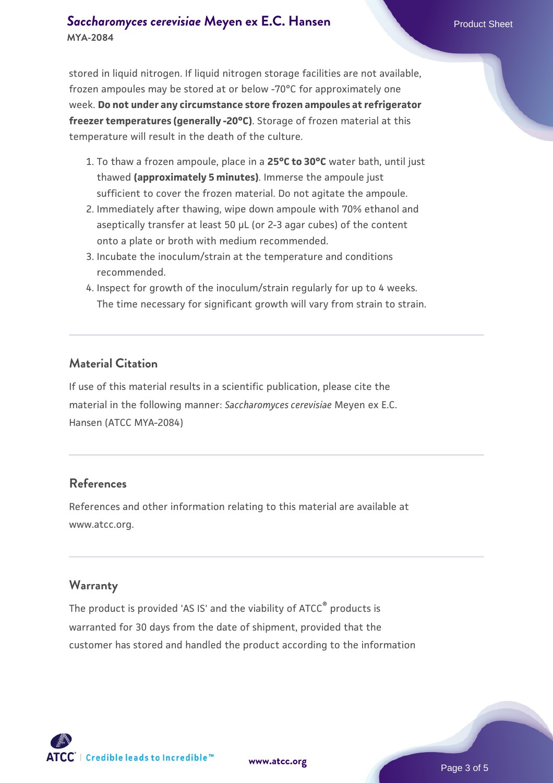#### **[Saccharomyces cerevisiae](https://www.atcc.org/products/mya-2084)** [Meyen ex E.C. Hansen](https://www.atcc.org/products/mya-2084) **MYA-2084**

stored in liquid nitrogen. If liquid nitrogen storage facilities are not available, frozen ampoules may be stored at or below -70°C for approximately one week. **Do not under any circumstance store frozen ampoules at refrigerator freezer temperatures (generally -20°C)**. Storage of frozen material at this temperature will result in the death of the culture.

- 1. To thaw a frozen ampoule, place in a **25°C to 30°C** water bath, until just thawed **(approximately 5 minutes)**. Immerse the ampoule just sufficient to cover the frozen material. Do not agitate the ampoule.
- 2. Immediately after thawing, wipe down ampoule with 70% ethanol and aseptically transfer at least 50 µL (or 2-3 agar cubes) of the content onto a plate or broth with medium recommended.
- 3. Incubate the inoculum/strain at the temperature and conditions recommended.
- 4. Inspect for growth of the inoculum/strain regularly for up to 4 weeks. The time necessary for significant growth will vary from strain to strain.

#### **Material Citation**

If use of this material results in a scientific publication, please cite the material in the following manner: *Saccharomyces cerevisiae* Meyen ex E.C. Hansen (ATCC MYA-2084)

#### **References**

References and other information relating to this material are available at www.atcc.org.

#### **Warranty**

The product is provided 'AS IS' and the viability of ATCC® products is warranted for 30 days from the date of shipment, provided that the customer has stored and handled the product according to the information

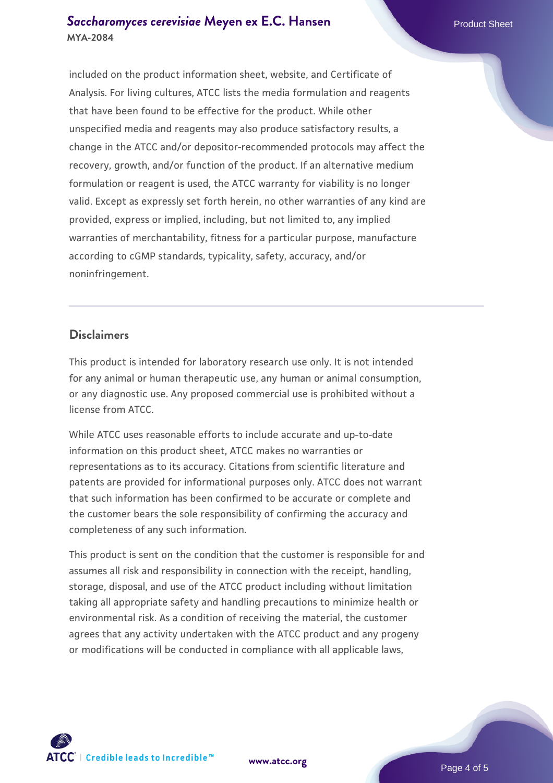#### **[Saccharomyces cerevisiae](https://www.atcc.org/products/mya-2084)** [Meyen ex E.C. Hansen](https://www.atcc.org/products/mya-2084) **MYA-2084**

included on the product information sheet, website, and Certificate of Analysis. For living cultures, ATCC lists the media formulation and reagents that have been found to be effective for the product. While other unspecified media and reagents may also produce satisfactory results, a change in the ATCC and/or depositor-recommended protocols may affect the recovery, growth, and/or function of the product. If an alternative medium formulation or reagent is used, the ATCC warranty for viability is no longer valid. Except as expressly set forth herein, no other warranties of any kind are provided, express or implied, including, but not limited to, any implied warranties of merchantability, fitness for a particular purpose, manufacture according to cGMP standards, typicality, safety, accuracy, and/or noninfringement.

#### **Disclaimers**

This product is intended for laboratory research use only. It is not intended for any animal or human therapeutic use, any human or animal consumption, or any diagnostic use. Any proposed commercial use is prohibited without a license from ATCC.

While ATCC uses reasonable efforts to include accurate and up-to-date information on this product sheet, ATCC makes no warranties or representations as to its accuracy. Citations from scientific literature and patents are provided for informational purposes only. ATCC does not warrant that such information has been confirmed to be accurate or complete and the customer bears the sole responsibility of confirming the accuracy and completeness of any such information.

This product is sent on the condition that the customer is responsible for and assumes all risk and responsibility in connection with the receipt, handling, storage, disposal, and use of the ATCC product including without limitation taking all appropriate safety and handling precautions to minimize health or environmental risk. As a condition of receiving the material, the customer agrees that any activity undertaken with the ATCC product and any progeny or modifications will be conducted in compliance with all applicable laws,



**[www.atcc.org](http://www.atcc.org)**

Page 4 of 5